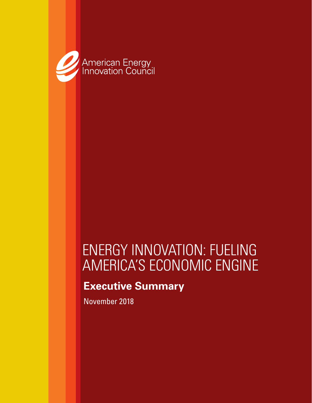

# ENERGY INNOVATION: FUELING AMERICA'S ECONOMIC ENGINE

# **Executive Summary**

November 2018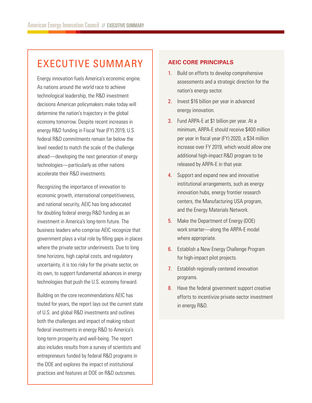# EXECUTIVE SUMMARY

Energy innovation fuels America's economic engine. As nations around the world race to achieve technological leadership, the R&D investment decisions American policymakers make today will determine the nation's trajectory in the global economy tomorrow. Despite recent increases in energy R&D funding in Fiscal Year (FY) 2019, U.S. federal R&D commitments remain far below the level needed to match the scale of the challenge ahead—developing the next generation of energy technologies—particularly as other nations accelerate their R&D investments.

Recognizing the importance of innovation to economic growth, international competitiveness, and national security, AEIC has long advocated for doubling federal energy R&D funding as an investment in America's long-term future. The business leaders who comprise AEIC recognize that government plays a vital role by filling gaps in places where the private sector underinvests. Due to long time horizons, high capital costs, and regulatory uncertainty, it is too risky for the private sector, on its own, to support fundamental advances in energy technologies that push the U.S. economy forward.

Building on the core recommendations AEIC has touted for years, the report lays out the current state of U.S. and global R&D investments and outlines both the challenges and impact of making robust federal investments in energy R&D to America's long-term prosperity and well-being. The report also includes results from a survey of scientists and entrepreneurs funded by federal R&D programs in the DOE and explores the impact of institutional practices and features at DOE on R&D outcomes.

### **AEIC CORE PRINCIPALS**

- 1. Build on efforts to develop comprehensive assessments and a strategic direction for the nation's energy sector.
- 2. Invest \$16 billion per year in advanced energy innovation.
- 3. Fund ARPA-E at \$1 billion per year. At a minimum, ARPA-E should receive \$400 million per year in fiscal year (FY) 2020, a \$34 million increase over FY 2019, which would allow one additional high-impact R&D program to be released by ARPA-E in that year.
- 4. Support and expand new and innovative institutional arrangements, such as energy innovation hubs, energy frontier research centers, the Manufacturing USA program, and the Energy Materials Network.
- 5. Make the Department of Energy (DOE) work smarter—along the ARPA-E model where appropriate.
- **6.** Establish a New Energy Challenge Program for high-impact pilot projects.
- 7. Establish regionally centered innovation programs.
- 8. Have the federal government support creative efforts to incentivize private-sector investment in energy R&D.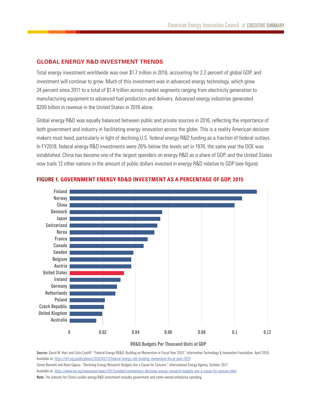### **GLOBAL ENERGY R&D INVESTMENT TRENDS**

Total energy investment worldwide was over \$1.7 trillion in 2016, accounting for 2.2 percent of global GDP, and investment will continue to grow. Much of this investment was in advanced energy technology, which grew 24 percent since 2011 to a total of \$1.4 trillion across market segments ranging from electricity generation to manufacturing equipment to advanced fuel production and delivery. Advanced energy industries generated \$200 billion in revenue in the United States in 2016 alone.

Global energy R&D was equally balanced between public and private sources in 2016, reflecting the importance of both government and industry in facilitating energy innovation across the globe. This is a reality American decision makers must heed, particularly in light of declining U.S. federal energy R&D funding as a fraction of federal outlays. In FY2018, federal energy R&D investments were 26% below the levels set in 1978, the same year the DOE was established. China has become one of the largest spenders on energy R&D as a share of GDP, and the United States now trails 12 other nations in the amount of public dollars invested in energy R&D relative to GDP (see figure).



#### **FIGURE 1. GOVERNMENT ENERGY RD&D INVESTMENT AS A PERCENTAGE OF GDP, 2015**

**RD&D Budgets Per Thousand Units of GDP**

Source: David M. Hart and Colin Cunliff. "Federal Energy RD&D: Building on Momentum in Fiscal Year 2019." Information Technology & Innovation Foundation. April 2018. Available at: https://itif.org/publications/2018/04/23/federal-energy-rdd-building-momentum-fiscal-year-2019 Simon Bennett and Remi Gigoux. "Declining Energy Research Budgets Are a Cause for Concern." International Energy Agency. October 2017. Available at: [https://www.iea.org/newsroom/news/2017/october/commentary-declining-energy-research-budgets-are-a-cause-for-concern.html](https://www.iea.org/newsroom/news/2017/october/commentary-declining-energy-research-budgets-are-a-ca) **Note:** The statistic for China's public energy R&D investment includes government and state-owned enterprise spending.